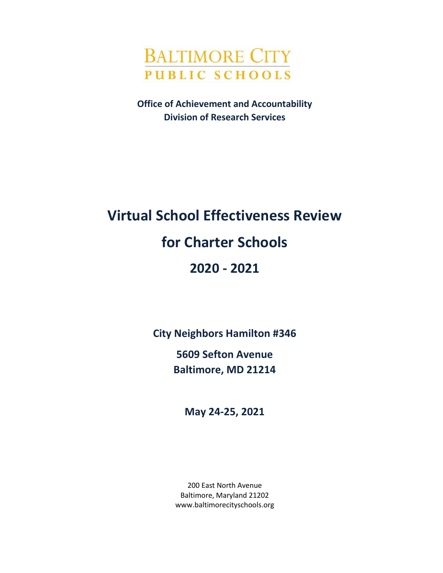

**Office of Achievement and Accountability Division of Research Services**

# **Virtual School Effectiveness Review for Charter Schools 2020 - 2021**

**City Neighbors Hamilton #346**

**5609 Sefton Avenue Baltimore, MD 21214**

**May 24-25, 2021**

200 East North Avenue Baltimore, Maryland 21202 www.baltimorecityschools.org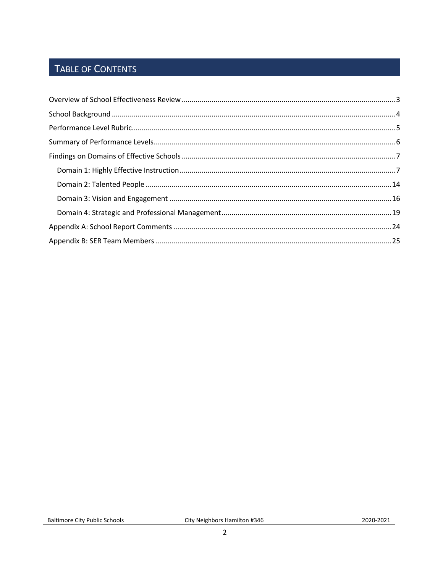### TABLE OF CONTENTS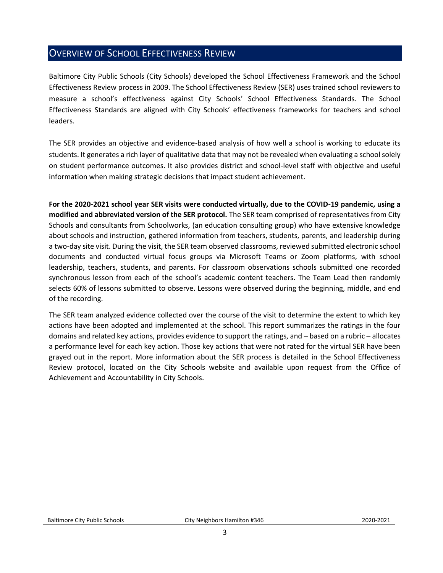### <span id="page-2-0"></span>OVERVIEW OF SCHOOL EFFECTIVENESS REVIEW

Baltimore City Public Schools (City Schools) developed the School Effectiveness Framework and the School Effectiveness Review process in 2009. The School Effectiveness Review (SER) uses trained school reviewers to measure a school's effectiveness against City Schools' School Effectiveness Standards. The School Effectiveness Standards are aligned with City Schools' effectiveness frameworks for teachers and school leaders.

The SER provides an objective and evidence-based analysis of how well a school is working to educate its students. It generates a rich layer of qualitative data that may not be revealed when evaluating a school solely on student performance outcomes. It also provides district and school-level staff with objective and useful information when making strategic decisions that impact student achievement.

**For the 2020-2021 school year SER visits were conducted virtually, due to the COVID-19 pandemic, using a modified and abbreviated version of the SER protocol.** The SER team comprised of representatives from City Schools and consultants from Schoolworks, (an education consulting group) who have extensive knowledge about schools and instruction, gathered information from teachers, students, parents, and leadership during a two-day site visit. During the visit, the SER team observed classrooms, reviewed submitted electronic school documents and conducted virtual focus groups via Microsoft Teams or Zoom platforms, with school leadership, teachers, students, and parents. For classroom observations schools submitted one recorded synchronous lesson from each of the school's academic content teachers. The Team Lead then randomly selects 60% of lessons submitted to observe. Lessons were observed during the beginning, middle, and end of the recording.

The SER team analyzed evidence collected over the course of the visit to determine the extent to which key actions have been adopted and implemented at the school. This report summarizes the ratings in the four domains and related key actions, provides evidence to support the ratings, and – based on a rubric – allocates a performance level for each key action. Those key actions that were not rated for the virtual SER have been grayed out in the report. More information about the SER process is detailed in the School Effectiveness Review protocol, located on the City Schools website and available upon request from the Office of Achievement and Accountability in City Schools.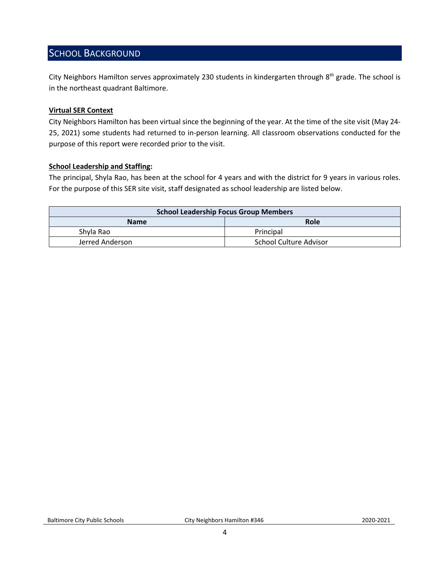### <span id="page-3-0"></span>SCHOOL BACKGROUND

City Neighbors Hamilton serves approximately 230 students in kindergarten through 8<sup>th</sup> grade. The school is in the northeast quadrant Baltimore.

### **Virtual SER Context**

City Neighbors Hamilton has been virtual since the beginning of the year. At the time of the site visit (May 24- 25, 2021) some students had returned to in-person learning. All classroom observations conducted for the purpose of this report were recorded prior to the visit.

#### **School Leadership and Staffing:**

The principal, Shyla Rao, has been at the school for 4 years and with the district for 9 years in various roles. For the purpose of this SER site visit, staff designated as school leadership are listed below.

<span id="page-3-1"></span>

| <b>School Leadership Focus Group Members</b> |                        |  |  |
|----------------------------------------------|------------------------|--|--|
| <b>Name</b>                                  | Role                   |  |  |
| Shyla Rao                                    | Principal              |  |  |
| Jerred Anderson                              | School Culture Advisor |  |  |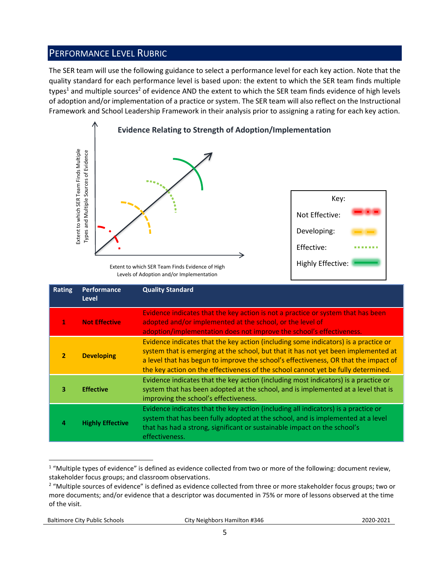### PERFORMANCE LEVEL RUBRIC

The SER team will use the following guidance to select a performance level for each key action. Note that the quality standard for each performance level is based upon: the extent to which the SER team finds multiple types<sup>1</sup> and multiple sources<sup>2</sup> of evidence AND the extent to which the SER team finds evidence of high levels of adoption and/or implementation of a practice or system. The SER team will also reflect on the Instructional Framework and School Leadership Framework in their analysis prior to assigning a rating for each key action.



Levels of Adoption and/or Implementation

|                | Extent to which SER Team Finds Multiple<br>Types and Multiple Sources of Evidence | Extent to which SER Team Finds Evidence of High<br>Levels of Adoption and/or Implementation                                                                                                                                                                                                                                                                                                                                                    | Key:<br>Not Effective:<br>Developing:<br>Effective:<br>Highly Effective: |  |
|----------------|-----------------------------------------------------------------------------------|------------------------------------------------------------------------------------------------------------------------------------------------------------------------------------------------------------------------------------------------------------------------------------------------------------------------------------------------------------------------------------------------------------------------------------------------|--------------------------------------------------------------------------|--|
| <b>Rating</b>  | Performance<br><b>Level</b>                                                       | <b>Quality Standard</b>                                                                                                                                                                                                                                                                                                                                                                                                                        |                                                                          |  |
| 1              | <b>Not Effective</b>                                                              | Evidence indicates that the key action is not a practice or system that has been<br>adopted and/or implemented at the school, or the level of<br>adoption/implementation does not improve the school's effectiveness.                                                                                                                                                                                                                          |                                                                          |  |
| $\overline{2}$ | <b>Developing</b>                                                                 | Evidence indicates that the key action (including some indicators) is a practice or<br>system that is emerging at the school, but that it has not yet been implemented at<br>a level that has begun to improve the school's effectiveness, OR that the impact of<br>the key action on the effectiveness of the school cannot yet be fully determined.                                                                                          |                                                                          |  |
| 3              | <b>Effective</b>                                                                  | Evidence indicates that the key action (including most indicators) is a practice or<br>system that has been adopted at the school, and is implemented at a level that is<br>improving the school's effectiveness.                                                                                                                                                                                                                              |                                                                          |  |
| 4              | <b>Highly Effective</b>                                                           | Evidence indicates that the key action (including all indicators) is a practice or<br>system that has been fully adopted at the school, and is implemented at a level<br>that has had a strong, significant or sustainable impact on the school's<br>effectiveness.                                                                                                                                                                            |                                                                          |  |
| of the visit.  |                                                                                   | <sup>1</sup> "Multiple types of evidence" is defined as evidence collected from two or more of the following: document review,<br>stakeholder focus groups; and classroom observations.<br><sup>2</sup> "Multiple sources of evidence" is defined as evidence collected from three or more stakeholder focus groups; two or<br>more documents; and/or evidence that a descriptor was documented in 75% or more of lessons observed at the time |                                                                          |  |

 $\overline{a}$  $1$  "Multiple types of evidence" is defined as evidence collected from two or more of the following: document review, stakeholder focus groups; and classroom observations.

<sup>&</sup>lt;sup>2</sup> "Multiple sources of evidence" is defined as evidence collected from three or more stakeholder focus groups; two or more documents; and/or evidence that a descriptor was documented in 75% or more of lessons observed at the time of the visit.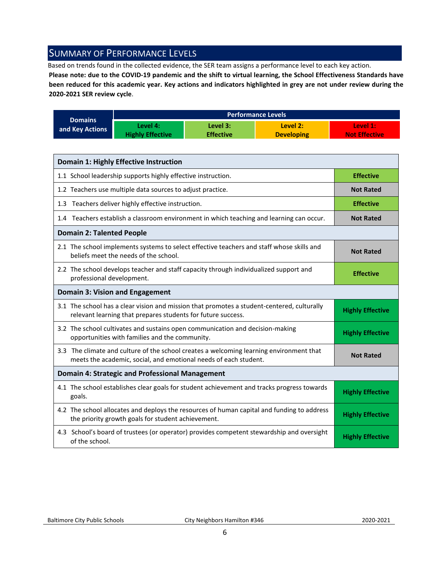### <span id="page-5-0"></span>SUMMARY OF PERFORMANCE LEVELS

Based on trends found in the collected evidence, the SER team assigns a performance level to each key action.

**Please note: due to the COVID-19 pandemic and the shift to virtual learning, the School Effectiveness Standards have been reduced for this academic year. Key actions and indicators highlighted in grey are not under review during the 2020-2021 SER review cycle**.

|                 |                         |                  | <b>Performance Levels</b> |                      |
|-----------------|-------------------------|------------------|---------------------------|----------------------|
| <b>Domains</b>  | Level 4:                | Level 3:         | Level 2:                  | Level 1:             |
| and Key Actions | <b>Highly Effective</b> | <b>Effective</b> | <b>Developing</b>         | <b>Not Effective</b> |

| <b>Domain 1: Highly Effective Instruction</b>                                                                                                               |                         |
|-------------------------------------------------------------------------------------------------------------------------------------------------------------|-------------------------|
| 1.1 School leadership supports highly effective instruction.                                                                                                | <b>Effective</b>        |
| 1.2 Teachers use multiple data sources to adjust practice.                                                                                                  | <b>Not Rated</b>        |
| 1.3 Teachers deliver highly effective instruction.                                                                                                          | <b>Effective</b>        |
| 1.4 Teachers establish a classroom environment in which teaching and learning can occur.                                                                    | <b>Not Rated</b>        |
| <b>Domain 2: Talented People</b>                                                                                                                            |                         |
| 2.1 The school implements systems to select effective teachers and staff whose skills and<br>beliefs meet the needs of the school.                          | <b>Not Rated</b>        |
| 2.2 The school develops teacher and staff capacity through individualized support and<br>professional development.                                          | <b>Effective</b>        |
| <b>Domain 3: Vision and Engagement</b>                                                                                                                      |                         |
| 3.1 The school has a clear vision and mission that promotes a student-centered, culturally<br>relevant learning that prepares students for future success.  | <b>Highly Effective</b> |
| 3.2 The school cultivates and sustains open communication and decision-making<br>opportunities with families and the community.                             | <b>Highly Effective</b> |
| 3.3 The climate and culture of the school creates a welcoming learning environment that<br>meets the academic, social, and emotional needs of each student. | <b>Not Rated</b>        |
| <b>Domain 4: Strategic and Professional Management</b>                                                                                                      |                         |
| 4.1 The school establishes clear goals for student achievement and tracks progress towards<br>goals.                                                        | <b>Highly Effective</b> |
| 4.2 The school allocates and deploys the resources of human capital and funding to address<br>the priority growth goals for student achievement.            | <b>Highly Effective</b> |
| 4.3 School's board of trustees (or operator) provides competent stewardship and oversight<br>of the school.                                                 | <b>Highly Effective</b> |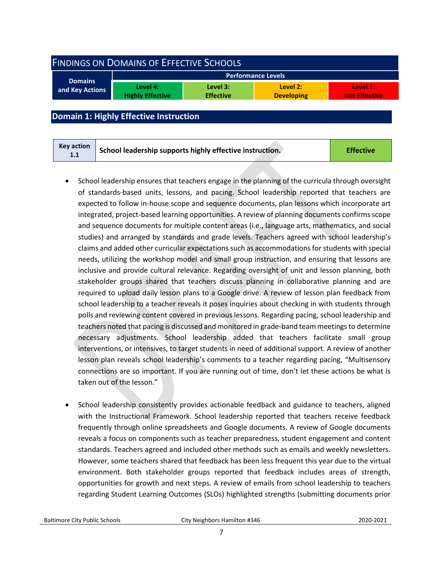<span id="page-6-0"></span>

| <b>FINDINGS ON DOMAINS OF EFFECTIVE SCHOOLS</b> |                                     |                              |                               |                                  |  |
|-------------------------------------------------|-------------------------------------|------------------------------|-------------------------------|----------------------------------|--|
| <b>Performance Levels</b>                       |                                     |                              |                               |                                  |  |
| <b>Domains</b><br>and Key Actions               | Level 4:<br><b>Highly Effective</b> | Level 3:<br><b>Effective</b> | Level 2:<br><b>Developing</b> | Level 1:<br><b>Not Effective</b> |  |
|                                                 |                                     |                              |                               |                                  |  |

### <span id="page-6-1"></span>**Domain 1: Highly Effective Instruction**

- School leadership ensures that teachers engage in the planning of the curricula through oversight of standards-based units, lessons, and pacing. School leadership reported that teachers are expected to follow in-house scope and sequence documents, plan lessons which incorporate art integrated, project-based learning opportunities. A review of planning documents confirms scope and sequence documents for multiple content areas (i.e., language arts, mathematics, and social studies) and arranged by standards and grade levels. Teachers agreed with school leadership's claims and added other curricular expectations such as accommodations for students with special needs, utilizing the workshop model and small group instruction, and ensuring that lessons are inclusive and provide cultural relevance. Regarding oversight of unit and lesson planning, both stakeholder groups shared that teachers discuss planning in collaborative planning and are required to upload daily lesson plans to a Google drive. A review of lesson plan feedback from school leadership to a teacher reveals it poses inquiries about checking in with students through polls and reviewing content covered in previous lessons. Regarding pacing, school leadership and teachers noted that pacing is discussed and monitored in grade-band team meetings to determine necessary adjustments. School leadership added that teachers facilitate small group interventions, or intensives, to target students in need of additional support. A review of another lesson plan reveals school leadership's comments to a teacher regarding pacing, "Multisensory connections are so important. If you are running out of time, don't let these actions be what is taken out of the lesson."
- School leadership consistently provides actionable feedback and guidance to teachers, aligned with the Instructional Framework. School leadership reported that teachers receive feedback frequently through online spreadsheets and Google documents. A review of Google documents reveals a focus on components such as teacher preparedness, student engagement and content standards. Teachers agreed and included other methods such as emails and weekly newsletters. However, some teachers shared that feedback has been less frequent this year due to the virtual environment. Both stakeholder groups reported that feedback includes areas of strength, opportunities for growth and next steps. A review of emails from school leadership to teachers regarding Student Learning Outcomes (SLOs) highlighted strengths (submitting documents prior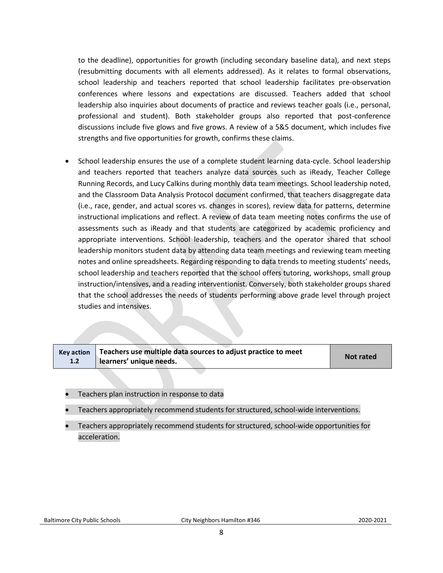to the deadline), opportunities for growth (including secondary baseline data), and next steps (resubmitting documents with all elements addressed). As it relates to formal observations, school leadership and teachers reported that school leadership facilitates pre-observation conferences where lessons and expectations are discussed. Teachers added that school leadership also inquiries about documents of practice and reviews teacher goals (i.e., personal, professional and student). Both stakeholder groups also reported that post-conference discussions include five glows and five grows. A review of a 5&5 document, which includes five strengths and five opportunities for growth, confirms these claims.

• School leadership ensures the use of a complete student learning data-cycle. School leadership and teachers reported that teachers analyze data sources such as iReady, Teacher College Running Records, and Lucy Calkins during monthly data team meetings. School leadership noted, and the Classroom Data Analysis Protocol document confirmed, that teachers disaggregate data (i.e., race, gender, and actual scores vs. changes in scores), review data for patterns, determine instructional implications and reflect. A review of data team meeting notes confirms the use of assessments such as iReady and that students are categorized by academic proficiency and appropriate interventions. School leadership, teachers and the operator shared that school leadership monitors student data by attending data team meetings and reviewing team meeting notes and online spreadsheets. Regarding responding to data trends to meeting students' needs, school leadership and teachers reported that the school offers tutoring, workshops, small group instruction/intensives, and a reading interventionist. Conversely, both stakeholder groups shared that the school addresses the needs of students performing above grade level through project studies and intensives.

| <b>Key action</b><br>1.2 | Teachers use multiple data sources to adjust practice to meet<br>learners' unique needs. | <b>Not rated</b> |
|--------------------------|------------------------------------------------------------------------------------------|------------------|

- Teachers plan instruction in response to data
- Teachers appropriately recommend students for structured, school-wide interventions.
- Teachers appropriately recommend students for structured, school-wide opportunities for acceleration.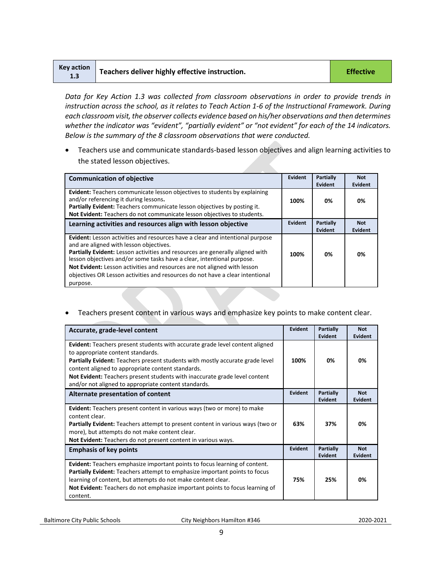| <b>Key action</b><br>1.3 | Teachers deliver highly effective instruction. | <b>Effective</b> |
|--------------------------|------------------------------------------------|------------------|
|--------------------------|------------------------------------------------|------------------|

*Data for Key Action 1.3 was collected from classroom observations in order to provide trends in instruction across the school, as it relates to Teach Action 1-6 of the Instructional Framework. During each classroom visit, the observer collects evidence based on his/her observations and then determines whether the indicator was "evident", "partially evident" or "not evident" for each of the 14 indicators. Below is the summary of the 8 classroom observations that were conducted.* 

• Teachers use and communicate standards-based lesson objectives and align learning activities to the stated lesson objectives.

| <b>Communication of objective</b>                                                                                                                                                                                                                                                                                                                                                                                                                                   | Evident        | <b>Partially</b><br>Evident | <b>Not</b><br>Evident |
|---------------------------------------------------------------------------------------------------------------------------------------------------------------------------------------------------------------------------------------------------------------------------------------------------------------------------------------------------------------------------------------------------------------------------------------------------------------------|----------------|-----------------------------|-----------------------|
| <b>Evident:</b> Teachers communicate lesson objectives to students by explaining<br>and/or referencing it during lessons.<br>Partially Evident: Teachers communicate lesson objectives by posting it.<br>Not Evident: Teachers do not communicate lesson objectives to students.                                                                                                                                                                                    | 100%           | 0%                          | 0%                    |
| Learning activities and resources align with lesson objective                                                                                                                                                                                                                                                                                                                                                                                                       | <b>Evident</b> | <b>Partially</b><br>Evident | <b>Not</b><br>Evident |
| <b>Evident:</b> Lesson activities and resources have a clear and intentional purpose<br>and are aligned with lesson objectives.<br>Partially Evident: Lesson activities and resources are generally aligned with<br>lesson objectives and/or some tasks have a clear, intentional purpose.<br>Not Evident: Lesson activities and resources are not aligned with lesson<br>objectives OR Lesson activities and resources do not have a clear intentional<br>purpose. | 100%           | 0%                          | 0%                    |

• Teachers present content in various ways and emphasize key points to make content clear.

| Accurate, grade-level content                                                                                                                                                                                                                                                                                                                                                                        | <b>Evident</b> | Partially<br>Evident        | <b>Not</b><br><b>Evident</b> |
|------------------------------------------------------------------------------------------------------------------------------------------------------------------------------------------------------------------------------------------------------------------------------------------------------------------------------------------------------------------------------------------------------|----------------|-----------------------------|------------------------------|
| <b>Evident:</b> Teachers present students with accurate grade level content aligned<br>to appropriate content standards.<br>Partially Evident: Teachers present students with mostly accurate grade level<br>content aligned to appropriate content standards.<br>Not Evident: Teachers present students with inaccurate grade level content<br>and/or not aligned to appropriate content standards. | 100%           | 0%                          | 0%                           |
| Alternate presentation of content                                                                                                                                                                                                                                                                                                                                                                    | <b>Evident</b> | <b>Partially</b><br>Evident | <b>Not</b><br><b>Evident</b> |
| Evident: Teachers present content in various ways (two or more) to make<br>content clear.<br><b>Partially Evident:</b> Teachers attempt to present content in various ways (two or<br>more), but attempts do not make content clear.<br>Not Evident: Teachers do not present content in various ways.                                                                                                | 63%            | 37%                         | 0%                           |
| <b>Emphasis of key points</b>                                                                                                                                                                                                                                                                                                                                                                        | <b>Evident</b> | Partially<br>Evident        | <b>Not</b><br>Evident        |
| Evident: Teachers emphasize important points to focus learning of content.<br><b>Partially Evident:</b> Teachers attempt to emphasize important points to focus<br>learning of content, but attempts do not make content clear.<br>Not Evident: Teachers do not emphasize important points to focus learning of<br>content.                                                                          | 75%            | 25%                         | 0%                           |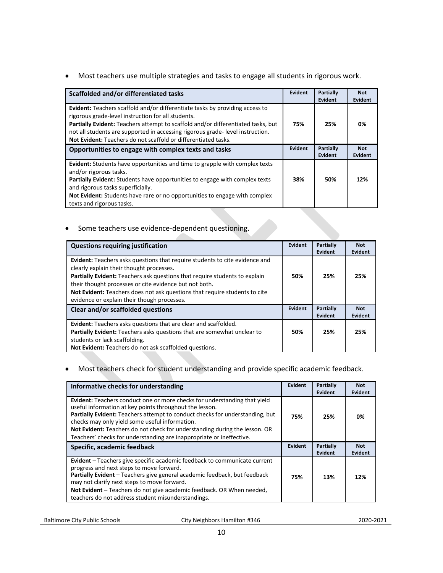• Most teachers use multiple strategies and tasks to engage all students in rigorous work.

| Scaffolded and/or differentiated tasks                                                                                                                                                                                                                                                                                                                                           | Evident        | <b>Partially</b><br>Evident | <b>Not</b><br><b>Evident</b> |
|----------------------------------------------------------------------------------------------------------------------------------------------------------------------------------------------------------------------------------------------------------------------------------------------------------------------------------------------------------------------------------|----------------|-----------------------------|------------------------------|
| <b>Evident:</b> Teachers scaffold and/or differentiate tasks by providing access to<br>rigorous grade-level instruction for all students.<br>Partially Evident: Teachers attempt to scaffold and/or differentiated tasks, but<br>not all students are supported in accessing rigorous grade-level instruction.<br>Not Evident: Teachers do not scaffold or differentiated tasks. | 75%            | 25%                         | 0%                           |
| Opportunities to engage with complex texts and tasks                                                                                                                                                                                                                                                                                                                             | <b>Evident</b> | Partially<br>Evident        | <b>Not</b><br>Evident        |
| Evident: Students have opportunities and time to grapple with complex texts<br>and/or rigorous tasks.<br>Partially Evident: Students have opportunities to engage with complex texts<br>and rigorous tasks superficially.<br><b>Not Evident:</b> Students have rare or no opportunities to engage with complex<br>texts and rigorous tasks.                                      | 38%            | 50%                         | 12%                          |

• Some teachers use evidence-dependent questioning.

| <b>Questions requiring justification</b>                                                                                                                                                                                                                                                                                                                                                     | Evident | <b>Partially</b><br>Evident | <b>Not</b><br><b>Evident</b> |
|----------------------------------------------------------------------------------------------------------------------------------------------------------------------------------------------------------------------------------------------------------------------------------------------------------------------------------------------------------------------------------------------|---------|-----------------------------|------------------------------|
| Evident: Teachers asks questions that require students to cite evidence and<br>clearly explain their thought processes.<br>Partially Evident: Teachers ask questions that require students to explain<br>their thought processes or cite evidence but not both.<br>Not Evident: Teachers does not ask questions that require students to cite<br>evidence or explain their though processes. | 50%     | 25%                         | 25%                          |
| Clear and/or scaffolded questions                                                                                                                                                                                                                                                                                                                                                            | Evident | <b>Partially</b><br>Evident | <b>Not</b><br><b>Evident</b> |
| <b>Evident:</b> Teachers asks questions that are clear and scaffolded.<br>Partially Evident: Teachers asks questions that are somewhat unclear to<br>students or lack scaffolding.<br>Not Evident: Teachers do not ask scaffolded questions.                                                                                                                                                 | 50%     | 25%                         | 25%                          |

### • Most teachers check for student understanding and provide specific academic feedback.

| Informative checks for understanding                                                                                                                                                                                                                                                                                                                                                                                                | <b>Evident</b> | Partially<br>Evident | <b>Not</b><br>Evident |
|-------------------------------------------------------------------------------------------------------------------------------------------------------------------------------------------------------------------------------------------------------------------------------------------------------------------------------------------------------------------------------------------------------------------------------------|----------------|----------------------|-----------------------|
| <b>Evident:</b> Teachers conduct one or more checks for understanding that yield<br>useful information at key points throughout the lesson.<br>Partially Evident: Teachers attempt to conduct checks for understanding, but<br>checks may only yield some useful information.<br>Not Evident: Teachers do not check for understanding during the lesson. OR<br>Teachers' checks for understanding are inappropriate or ineffective. | 75%            | 25%                  | 0%                    |
| Specific, academic feedback                                                                                                                                                                                                                                                                                                                                                                                                         | <b>Evident</b> | Partially<br>Evident | <b>Not</b><br>Evident |
| <b>Evident</b> – Teachers give specific academic feedback to communicate current<br>progress and next steps to move forward.<br>Partially Evident - Teachers give general academic feedback, but feedback<br>may not clarify next steps to move forward.<br>Not Evident - Teachers do not give academic feedback. OR When needed,<br>teachers do not address student misunderstandings.                                             | 75%            | 13%                  | 12%                   |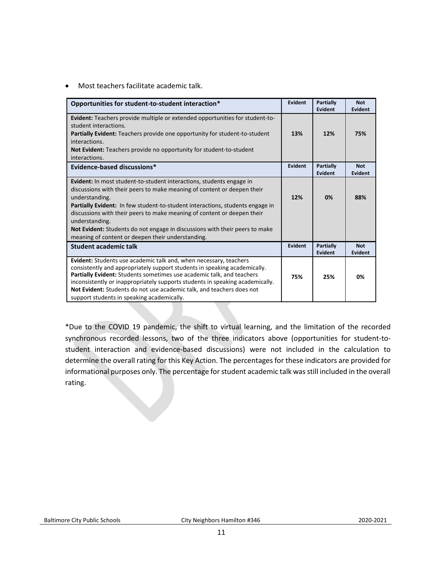• Most teachers facilitate academic talk.

| Opportunities for student-to-student interaction*                                                                                                                                                                                                                                                                                                                                                                                                                                          | Evident        | Partially<br>Evident        | <b>Not</b><br><b>Evident</b> |
|--------------------------------------------------------------------------------------------------------------------------------------------------------------------------------------------------------------------------------------------------------------------------------------------------------------------------------------------------------------------------------------------------------------------------------------------------------------------------------------------|----------------|-----------------------------|------------------------------|
| <b>Evident:</b> Teachers provide multiple or extended opportunities for student-to-<br>student interactions.<br><b>Partially Evident:</b> Teachers provide one opportunity for student-to-student<br>interactions.<br>Not Evident: Teachers provide no opportunity for student-to-student<br>interactions.                                                                                                                                                                                 | 13%            |                             | 75%                          |
| Evidence-based discussions*                                                                                                                                                                                                                                                                                                                                                                                                                                                                | <b>Evident</b> | <b>Partially</b><br>Evident | <b>Not</b><br><b>Evident</b> |
| Evident: In most student-to-student interactions, students engage in<br>discussions with their peers to make meaning of content or deepen their<br>understanding.<br><b>Partially Evident:</b> In few student-to-student interactions, students engage in<br>discussions with their peers to make meaning of content or deepen their<br>understanding.<br>Not Evident: Students do not engage in discussions with their peers to make<br>meaning of content or deepen their understanding. | 12%            | 0%                          | 88%                          |
| <b>Student academic talk</b>                                                                                                                                                                                                                                                                                                                                                                                                                                                               | Evident        | <b>Partially</b><br>Evident | <b>Not</b><br><b>Evident</b> |
| Evident: Students use academic talk and, when necessary, teachers<br>consistently and appropriately support students in speaking academically.<br>Partially Evident: Students sometimes use academic talk, and teachers<br>inconsistently or inappropriately supports students in speaking academically.<br>Not Evident: Students do not use academic talk, and teachers does not<br>support students in speaking academically.                                                            | 75%            | 25%                         | 0%                           |

\*Due to the COVID 19 pandemic, the shift to virtual learning, and the limitation of the recorded synchronous recorded lessons, two of the three indicators above (opportunities for student-tostudent interaction and evidence-based discussions) were not included in the calculation to determine the overall rating for this Key Action. The percentages for these indicators are provided for informational purposes only. The percentage for student academic talk was still included in the overall rating.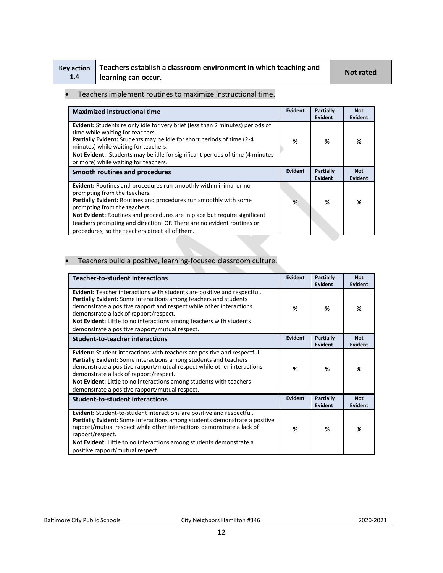| Key action |  |
|------------|--|
| 1.4        |  |

## **Teachers establish a classroom environment in which teaching and learning can occur. Not rated**

### • Teachers implement routines to maximize instructional time.

| <b>Maximized instructional time</b>                                                                                                                                                                                                                                                                                                                                                                                   | Evident        | Partially<br><b>Evident</b> | <b>Not</b><br>Evident |
|-----------------------------------------------------------------------------------------------------------------------------------------------------------------------------------------------------------------------------------------------------------------------------------------------------------------------------------------------------------------------------------------------------------------------|----------------|-----------------------------|-----------------------|
| Evident: Students re only idle for very brief (less than 2 minutes) periods of<br>time while waiting for teachers.<br>Partially Evident: Students may be idle for short periods of time (2-4<br>minutes) while waiting for teachers.<br>Not Evident: Students may be idle for significant periods of time (4 minutes)<br>or more) while waiting for teachers.                                                         | %              | %                           | %                     |
| Smooth routines and procedures                                                                                                                                                                                                                                                                                                                                                                                        | <b>Evident</b> | Partially<br>Evident        | <b>Not</b><br>Evident |
| Evident: Routines and procedures run smoothly with minimal or no<br>prompting from the teachers.<br><b>Partially Evident:</b> Routines and procedures run smoothly with some<br>prompting from the teachers.<br>Not Evident: Routines and procedures are in place but require significant<br>teachers prompting and direction. OR There are no evident routines or<br>procedures, so the teachers direct all of them. | %              | %                           | %                     |

### • Teachers build a positive, learning-focused classroom culture.

| <b>Teacher-to-student interactions</b>                                                                                                                                                                                                                                                                                                                                                           | Evident        | Partially<br>Evident | <b>Not</b><br>Evident |
|--------------------------------------------------------------------------------------------------------------------------------------------------------------------------------------------------------------------------------------------------------------------------------------------------------------------------------------------------------------------------------------------------|----------------|----------------------|-----------------------|
| Evident: Teacher interactions with students are positive and respectful.<br>Partially Evident: Some interactions among teachers and students<br>demonstrate a positive rapport and respect while other interactions<br>demonstrate a lack of rapport/respect.<br>Not Evident: Little to no interactions among teachers with students<br>demonstrate a positive rapport/mutual respect.           | %              | %                    | %                     |
| <b>Student-to-teacher interactions</b>                                                                                                                                                                                                                                                                                                                                                           | Evident        | Partially<br>Evident | <b>Not</b><br>Evident |
| Evident: Student interactions with teachers are positive and respectful.<br>Partially Evident: Some interactions among students and teachers<br>demonstrate a positive rapport/mutual respect while other interactions<br>demonstrate a lack of rapport/respect.<br><b>Not Evident:</b> Little to no interactions among students with teachers<br>demonstrate a positive rapport/mutual respect. | %              | %                    | %                     |
| <b>Student-to-student interactions</b>                                                                                                                                                                                                                                                                                                                                                           | <b>Evident</b> | Partially<br>Evident | <b>Not</b><br>Evident |
| Evident: Student-to-student interactions are positive and respectful.<br><b>Partially Evident:</b> Some interactions among students demonstrate a positive<br>rapport/mutual respect while other interactions demonstrate a lack of<br>rapport/respect.<br>Not Evident: Little to no interactions among students demonstrate a<br>positive rapport/mutual respect.                               | %              | %                    | %                     |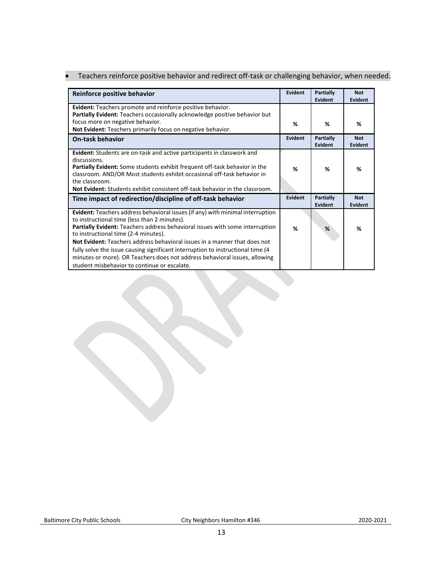|  |  |  |  | Teachers reinforce positive behavior and redirect off-task or challenging behavior, when needed. |  |
|--|--|--|--|--------------------------------------------------------------------------------------------------|--|
|--|--|--|--|--------------------------------------------------------------------------------------------------|--|

| Reinforce positive behavior                                                                                                                                                                                                                                                                                                                                                                                                    | Evident        | Partially<br><b>Evident</b>        | <b>Not</b><br><b>Evident</b> |
|--------------------------------------------------------------------------------------------------------------------------------------------------------------------------------------------------------------------------------------------------------------------------------------------------------------------------------------------------------------------------------------------------------------------------------|----------------|------------------------------------|------------------------------|
| Evident: Teachers promote and reinforce positive behavior.<br>Partially Evident: Teachers occasionally acknowledge positive behavior but                                                                                                                                                                                                                                                                                       |                |                                    |                              |
| focus more on negative behavior.<br>Not Evident: Teachers primarily focus on negative behavior.                                                                                                                                                                                                                                                                                                                                | %              | %                                  | %                            |
| <b>On-task behavior</b>                                                                                                                                                                                                                                                                                                                                                                                                        | <b>Evident</b> | <b>Partially</b><br><b>Evident</b> | <b>Not</b><br>Evident        |
| <b>Evident:</b> Students are on-task and active participants in classwork and<br>discussions.<br><b>Partially Evident:</b> Some students exhibit frequent off-task behavior in the<br>classroom. AND/OR Most students exhibit occasional off-task behavior in<br>the classroom.<br><b>Not Evident:</b> Students exhibit consistent off-task behavior in the classroom.                                                         | %              | %                                  | %                            |
| Time impact of redirection/discipline of off-task behavior                                                                                                                                                                                                                                                                                                                                                                     | <b>Evident</b> | Partially<br>Evident               | <b>Not</b><br>Evident        |
| Evident: Teachers address behavioral issues (if any) with minimal interruption<br>to instructional time (less than 2 minutes).<br>Partially Evident: Teachers address behavioral issues with some interruption<br>to instructional time (2-4 minutes).<br><b>Not Evident:</b> Teachers address behavioral issues in a manner that does not<br>fully solve the issue causing significant interruption to instructional time (4) | %              | %                                  | %                            |
| minutes or more). OR Teachers does not address behavioral issues, allowing<br>student misbehavior to continue or escalate.                                                                                                                                                                                                                                                                                                     |                |                                    |                              |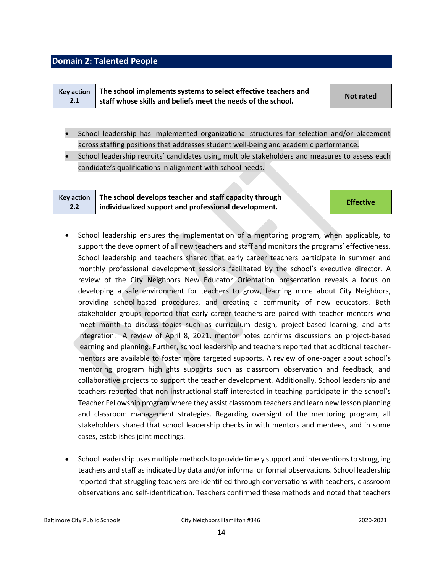### <span id="page-13-0"></span>**Domain 2: Talented People**

| <b>Kev action</b> | The school implements systems to select effective teachers and | Not rated |
|-------------------|----------------------------------------------------------------|-----------|
| 2.1               | staff whose skills and beliefs meet the needs of the school.   |           |

- School leadership has implemented organizational structures for selection and/or placement across staffing positions that addresses student well-being and academic performance.
- School leadership recruits' candidates using multiple stakeholders and measures to assess each candidate's qualifications in alignment with school needs.

| <b>Kev action</b> | The school develops teacher and staff capacity through | <b>Effective</b> |
|-------------------|--------------------------------------------------------|------------------|
| 2.2               | individualized support and professional development.   |                  |

- School leadership ensures the implementation of a mentoring program, when applicable, to support the development of all new teachers and staff and monitors the programs' effectiveness. School leadership and teachers shared that early career teachers participate in summer and monthly professional development sessions facilitated by the school's executive director. A review of the City Neighbors New Educator Orientation presentation reveals a focus on developing a safe environment for teachers to grow, learning more about City Neighbors, providing school-based procedures, and creating a community of new educators. Both stakeholder groups reported that early career teachers are paired with teacher mentors who meet month to discuss topics such as curriculum design, project-based learning, and arts integration. A review of April 8, 2021, mentor notes confirms discussions on project-based learning and planning. Further, school leadership and teachers reported that additional teachermentors are available to foster more targeted supports. A review of one-pager about school's mentoring program highlights supports such as classroom observation and feedback, and collaborative projects to support the teacher development. Additionally, School leadership and teachers reported that non-instructional staff interested in teaching participate in the school's Teacher Fellowship program where they assist classroom teachers and learn new lesson planning and classroom management strategies. Regarding oversight of the mentoring program, all stakeholders shared that school leadership checks in with mentors and mentees, and in some cases, establishes joint meetings.
- School leadership uses multiple methods to provide timely support and interventions to struggling teachers and staff as indicated by data and/or informal or formal observations. School leadership reported that struggling teachers are identified through conversations with teachers, classroom observations and self-identification. Teachers confirmed these methods and noted that teachers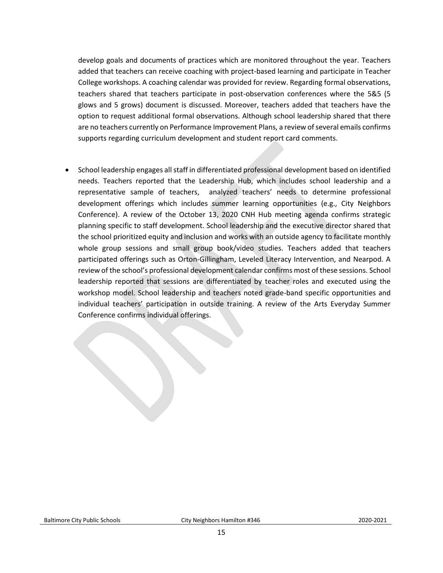develop goals and documents of practices which are monitored throughout the year. Teachers added that teachers can receive coaching with project-based learning and participate in Teacher College workshops. A coaching calendar was provided for review. Regarding formal observations, teachers shared that teachers participate in post-observation conferences where the 5&5 (5 glows and 5 grows) document is discussed. Moreover, teachers added that teachers have the option to request additional formal observations. Although school leadership shared that there are no teachers currently on Performance Improvement Plans, a review of several emails confirms supports regarding curriculum development and student report card comments.

• School leadership engages all staff in differentiated professional development based on identified needs. Teachers reported that the Leadership Hub, which includes school leadership and a representative sample of teachers, analyzed teachers' needs to determine professional development offerings which includes summer learning opportunities (e.g., City Neighbors Conference). A review of the October 13, 2020 CNH Hub meeting agenda confirms strategic planning specific to staff development. School leadership and the executive director shared that the school prioritized equity and inclusion and works with an outside agency to facilitate monthly whole group sessions and small group book/video studies. Teachers added that teachers participated offerings such as Orton-Gillingham, Leveled Literacy Intervention, and Nearpod. A review of the school's professional development calendar confirms most of these sessions. School leadership reported that sessions are differentiated by teacher roles and executed using the workshop model. School leadership and teachers noted grade-band specific opportunities and individual teachers' participation in outside training. A review of the Arts Everyday Summer Conference confirms individual offerings.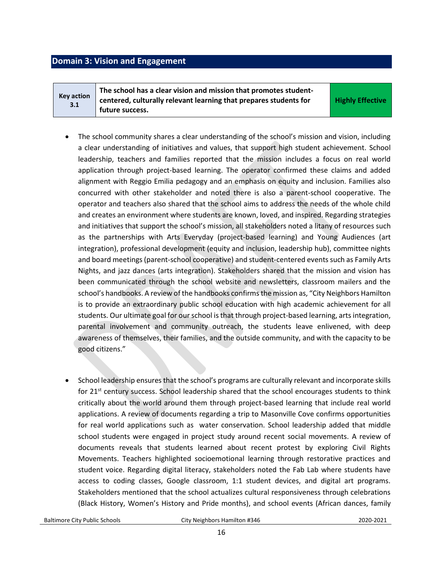### <span id="page-15-0"></span>**Domain 3: Vision and Engagement**

**Key action 3.1 The school has a clear vision and mission that promotes studentcentered, culturally relevant learning that prepares students for future success.** 

**Highly Effective**

- The school community shares a clear understanding of the school's mission and vision, including a clear understanding of initiatives and values, that support high student achievement. School leadership, teachers and families reported that the mission includes a focus on real world application through project-based learning. The operator confirmed these claims and added alignment with Reggio Emilia pedagogy and an emphasis on equity and inclusion. Families also concurred with other stakeholder and noted there is also a parent-school cooperative. The operator and teachers also shared that the school aims to address the needs of the whole child and creates an environment where students are known, loved, and inspired. Regarding strategies and initiatives that support the school's mission, all stakeholders noted a litany of resources such as the partnerships with Arts Everyday (project-based learning) and Young Audiences (art integration), professional development (equity and inclusion, leadership hub), committee nights and board meetings (parent-school cooperative) and student-centered events such as Family Arts Nights, and jazz dances (arts integration). Stakeholders shared that the mission and vision has been communicated through the school website and newsletters, classroom mailers and the school's handbooks. A review of the handbooks confirms the mission as, "City Neighbors Hamilton is to provide an extraordinary public school education with high academic achievement for all students. Our ultimate goal for our school is that through project-based learning, arts integration, parental involvement and community outreach, the students leave enlivened, with deep awareness of themselves, their families, and the outside community, and with the capacity to be good citizens."
- School leadership ensures that the school's programs are culturally relevant and incorporate skills for  $21^{st}$  century success. School leadership shared that the school encourages students to think critically about the world around them through project-based learning that include real world applications. A review of documents regarding a trip to Masonville Cove confirms opportunities for real world applications such as water conservation. School leadership added that middle school students were engaged in project study around recent social movements. A review of documents reveals that students learned about recent protest by exploring Civil Rights Movements. Teachers highlighted socioemotional learning through restorative practices and student voice. Regarding digital literacy, stakeholders noted the Fab Lab where students have access to coding classes, Google classroom, 1:1 student devices, and digital art programs. Stakeholders mentioned that the school actualizes cultural responsiveness through celebrations (Black History, Women's History and Pride months), and school events (African dances, family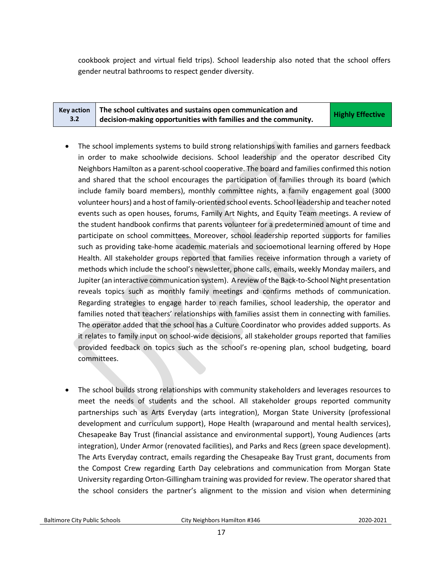cookbook project and virtual field trips). School leadership also noted that the school offers gender neutral bathrooms to respect gender diversity.

| <b>Key action</b> | The school cultivates and sustains open communication and               | <b>Highly Effective</b> |
|-------------------|-------------------------------------------------------------------------|-------------------------|
| 3.2               | $\vdash$ decision-making opportunities with families and the community. |                         |

- The school implements systems to build strong relationships with families and garners feedback in order to make schoolwide decisions. School leadership and the operator described City Neighbors Hamilton as a parent-school cooperative. The board and families confirmed this notion and shared that the school encourages the participation of families through its board (which include family board members), monthly committee nights, a family engagement goal (3000 volunteer hours) and a host of family-oriented school events. School leadership and teacher noted events such as open houses, forums, Family Art Nights, and Equity Team meetings. A review of the student handbook confirms that parents volunteer for a predetermined amount of time and participate on school committees. Moreover, school leadership reported supports for families such as providing take-home academic materials and socioemotional learning offered by Hope Health. All stakeholder groups reported that families receive information through a variety of methods which include the school's newsletter, phone calls, emails, weekly Monday mailers, and Jupiter (an interactive communication system). A review of the Back-to-School Night presentation reveals topics such as monthly family meetings and confirms methods of communication. Regarding strategies to engage harder to reach families, school leadership, the operator and families noted that teachers' relationships with families assist them in connecting with families. The operator added that the school has a Culture Coordinator who provides added supports. As it relates to family input on school-wide decisions, all stakeholder groups reported that families provided feedback on topics such as the school's re-opening plan, school budgeting, board committees.
- The school builds strong relationships with community stakeholders and leverages resources to meet the needs of students and the school. All stakeholder groups reported community partnerships such as Arts Everyday (arts integration), Morgan State University (professional development and curriculum support), Hope Health (wraparound and mental health services), Chesapeake Bay Trust (financial assistance and environmental support), Young Audiences (arts integration), Under Armor (renovated facilities), and Parks and Recs (green space development). The Arts Everyday contract, emails regarding the Chesapeake Bay Trust grant, documents from the Compost Crew regarding Earth Day celebrations and communication from Morgan State University regarding Orton-Gillingham training was provided for review. The operator shared that the school considers the partner's alignment to the mission and vision when determining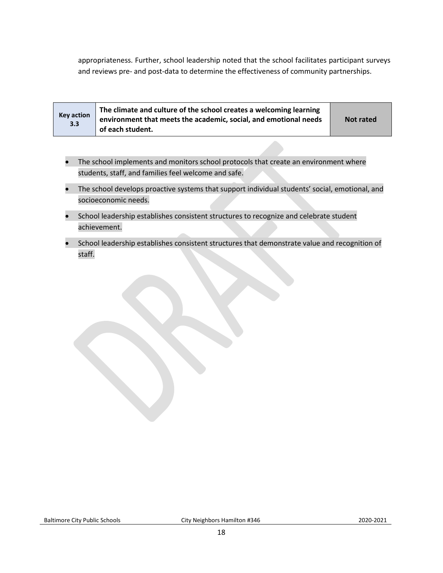appropriateness. Further, school leadership noted that the school facilitates participant surveys and reviews pre- and post-data to determine the effectiveness of community partnerships.

| <b>Key action</b><br>3.3 | The climate and culture of the school creates a welcoming learning<br>environment that meets the academic, social, and emotional needs<br>of each student. | <b>Not rated</b> |
|--------------------------|------------------------------------------------------------------------------------------------------------------------------------------------------------|------------------|
|--------------------------|------------------------------------------------------------------------------------------------------------------------------------------------------------|------------------|

- The school implements and monitors school protocols that create an environment where students, staff, and families feel welcome and safe.
- The school develops proactive systems that support individual students' social, emotional, and socioeconomic needs.
- School leadership establishes consistent structures to recognize and celebrate student achievement.
- School leadership establishes consistent structures that demonstrate value and recognition of staff.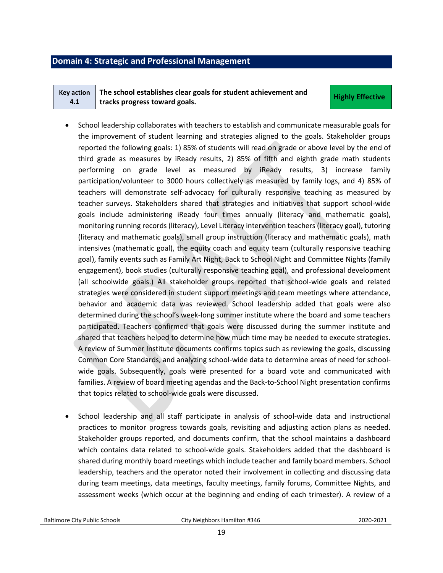### <span id="page-18-0"></span>**Domain 4: Strategic and Professional Management**

| Key action $\parallel$ The school establishes clear goals for student achievement and | <b>Highly Effective</b> |
|---------------------------------------------------------------------------------------|-------------------------|
| tracks progress toward goals.                                                         |                         |

- School leadership collaborates with teachers to establish and communicate measurable goals for the improvement of student learning and strategies aligned to the goals. Stakeholder groups reported the following goals: 1) 85% of students will read on grade or above level by the end of third grade as measures by iReady results, 2) 85% of fifth and eighth grade math students performing on grade level as measured by iReady results, 3) increase family participation/volunteer to 3000 hours collectively as measured by family logs, and 4) 85% of teachers will demonstrate self-advocacy for culturally responsive teaching as measured by teacher surveys. Stakeholders shared that strategies and initiatives that support school-wide goals include administering iReady four times annually (literacy and mathematic goals), monitoring running records (literacy), Level Literacy intervention teachers (literacy goal), tutoring (literacy and mathematic goals), small group instruction (literacy and mathematic goals), math intensives (mathematic goal), the equity coach and equity team (culturally responsive teaching goal), family events such as Family Art Night, Back to School Night and Committee Nights (family engagement), book studies (culturally responsive teaching goal), and professional development (all schoolwide goals.) All stakeholder groups reported that school-wide goals and related strategies were considered in student support meetings and team meetings where attendance, behavior and academic data was reviewed. School leadership added that goals were also determined during the school's week-long summer institute where the board and some teachers participated. Teachers confirmed that goals were discussed during the summer institute and shared that teachers helped to determine how much time may be needed to execute strategies. A review of Summer Institute documents confirms topics such as reviewing the goals, discussing Common Core Standards, and analyzing school-wide data to determine areas of need for schoolwide goals. Subsequently, goals were presented for a board vote and communicated with families. A review of board meeting agendas and the Back-to-School Night presentation confirms that topics related to school-wide goals were discussed.
- School leadership and all staff participate in analysis of school-wide data and instructional practices to monitor progress towards goals, revisiting and adjusting action plans as needed. Stakeholder groups reported, and documents confirm, that the school maintains a dashboard which contains data related to school-wide goals. Stakeholders added that the dashboard is shared during monthly board meetings which include teacher and family board members. School leadership, teachers and the operator noted their involvement in collecting and discussing data during team meetings, data meetings, faculty meetings, family forums, Committee Nights, and assessment weeks (which occur at the beginning and ending of each trimester). A review of a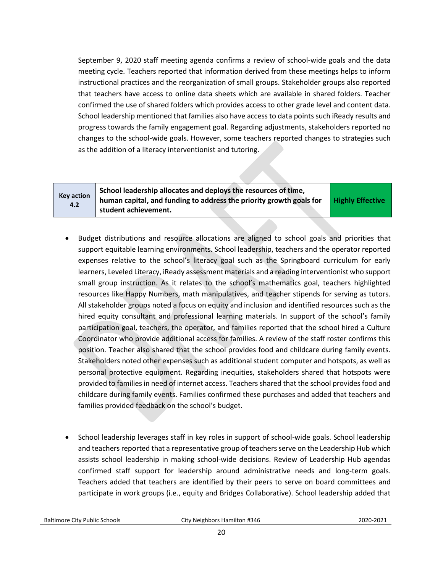September 9, 2020 staff meeting agenda confirms a review of school-wide goals and the data meeting cycle. Teachers reported that information derived from these meetings helps to inform instructional practices and the reorganization of small groups. Stakeholder groups also reported that teachers have access to online data sheets which are available in shared folders. Teacher confirmed the use of shared folders which provides access to other grade level and content data. School leadership mentioned that families also have access to data points such iReady results and progress towards the family engagement goal. Regarding adjustments, stakeholders reported no changes to the school-wide goals. However, some teachers reported changes to strategies such as the addition of a literacy interventionist and tutoring.

| <b>Key action</b><br>4.2 | School leadership allocates and deploys the resources of time,      |
|--------------------------|---------------------------------------------------------------------|
|                          | human capital, and funding to address the priority growth goals for |
|                          | student achievement.                                                |

**Highly Effective**

- Budget distributions and resource allocations are aligned to school goals and priorities that support equitable learning environments. School leadership, teachers and the operator reported expenses relative to the school's literacy goal such as the Springboard curriculum for early learners, Leveled Literacy, iReady assessment materials and a reading interventionist who support small group instruction. As it relates to the school's mathematics goal, teachers highlighted resources like Happy Numbers, math manipulatives, and teacher stipends for serving as tutors. All stakeholder groups noted a focus on equity and inclusion and identified resources such as the hired equity consultant and professional learning materials. In support of the school's family participation goal, teachers, the operator, and families reported that the school hired a Culture Coordinator who provide additional access for families. A review of the staff roster confirms this position. Teacher also shared that the school provides food and childcare during family events. Stakeholders noted other expenses such as additional student computer and hotspots, as well as personal protective equipment. Regarding inequities, stakeholders shared that hotspots were provided to families in need of internet access. Teachers shared that the school provides food and childcare during family events. Families confirmed these purchases and added that teachers and families provided feedback on the school's budget.
- School leadership leverages staff in key roles in support of school-wide goals. School leadership and teachers reported that a representative group of teachers serve on the Leadership Hub which assists school leadership in making school-wide decisions. Review of Leadership Hub agendas confirmed staff support for leadership around administrative needs and long-term goals. Teachers added that teachers are identified by their peers to serve on board committees and participate in work groups (i.e., equity and Bridges Collaborative). School leadership added that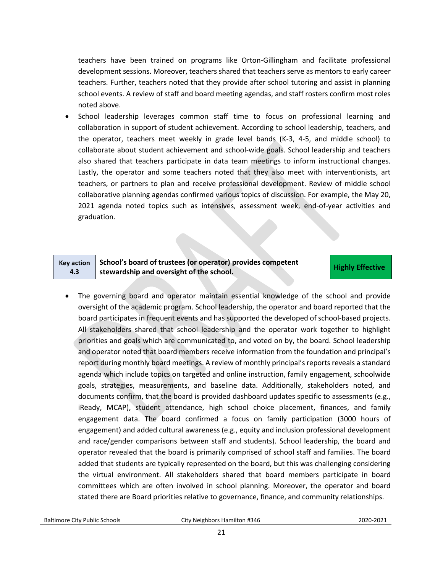teachers have been trained on programs like Orton-Gillingham and facilitate professional development sessions. Moreover, teachers shared that teachers serve as mentors to early career teachers. Further, teachers noted that they provide after school tutoring and assist in planning school events. A review of staff and board meeting agendas, and staff rosters confirm most roles noted above.

• School leadership leverages common staff time to focus on professional learning and collaboration in support of student achievement. According to school leadership, teachers, and the operator, teachers meet weekly in grade level bands (K-3, 4-5, and middle school) to collaborate about student achievement and school-wide goals. School leadership and teachers also shared that teachers participate in data team meetings to inform instructional changes. Lastly, the operator and some teachers noted that they also meet with interventionists, art teachers, or partners to plan and receive professional development. Review of middle school collaborative planning agendas confirmed various topics of discussion. For example, the May 20, 2021 agenda noted topics such as intensives, assessment week, end-of-year activities and graduation.

#### **Key action 4.3 School's board of trustees (or operator) provides competent stribut 3 board of trastees (or operator)** provides competent **Highly Effective**

• The governing board and operator maintain essential knowledge of the school and provide oversight of the academic program. School leadership, the operator and board reported that the board participates in frequent events and has supported the developed of school-based projects. All stakeholders shared that school leadership and the operator work together to highlight priorities and goals which are communicated to, and voted on by, the board. School leadership and operator noted that board members receive information from the foundation and principal's report during monthly board meetings. A review of monthly principal's reports reveals a standard agenda which include topics on targeted and online instruction, family engagement, schoolwide goals, strategies, measurements, and baseline data. Additionally, stakeholders noted, and documents confirm, that the board is provided dashboard updates specific to assessments (e.g., iReady, MCAP), student attendance, high school choice placement, finances, and family engagement data. The board confirmed a focus on family participation (3000 hours of engagement) and added cultural awareness (e.g., equity and inclusion professional development and race/gender comparisons between staff and students). School leadership, the board and operator revealed that the board is primarily comprised of school staff and families. The board added that students are typically represented on the board, but this was challenging considering the virtual environment. All stakeholders shared that board members participate in board committees which are often involved in school planning. Moreover, the operator and board stated there are Board priorities relative to governance, finance, and community relationships.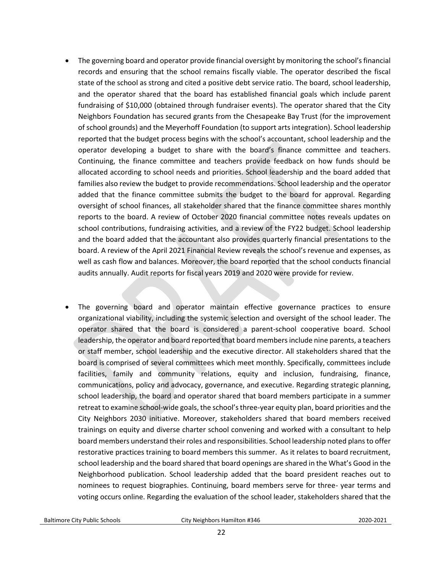- The governing board and operator provide financial oversight by monitoring the school's financial records and ensuring that the school remains fiscally viable. The operator described the fiscal state of the school as strong and cited a positive debt service ratio. The board, school leadership, and the operator shared that the board has established financial goals which include parent fundraising of \$10,000 (obtained through fundraiser events). The operator shared that the City Neighbors Foundation has secured grants from the Chesapeake Bay Trust (for the improvement of school grounds) and the Meyerhoff Foundation (to support arts integration). School leadership reported that the budget process begins with the school's accountant, school leadership and the operator developing a budget to share with the board's finance committee and teachers. Continuing, the finance committee and teachers provide feedback on how funds should be allocated according to school needs and priorities. School leadership and the board added that families also review the budget to provide recommendations. School leadership and the operator added that the finance committee submits the budget to the board for approval. Regarding oversight of school finances, all stakeholder shared that the finance committee shares monthly reports to the board. A review of October 2020 financial committee notes reveals updates on school contributions, fundraising activities, and a review of the FY22 budget. School leadership and the board added that the accountant also provides quarterly financial presentations to the board. A review of the April 2021 Financial Review reveals the school's revenue and expenses, as well as cash flow and balances. Moreover, the board reported that the school conducts financial audits annually. Audit reports for fiscal years 2019 and 2020 were provide for review.
- The governing board and operator maintain effective governance practices to ensure organizational viability, including the systemic selection and oversight of the school leader. The operator shared that the board is considered a parent-school cooperative board. School leadership, the operator and board reported that board members include nine parents, a teachers or staff member, school leadership and the executive director. All stakeholders shared that the board is comprised of several committees which meet monthly. Specifically, committees include facilities, family and community relations, equity and inclusion, fundraising, finance, communications, policy and advocacy, governance, and executive. Regarding strategic planning, school leadership, the board and operator shared that board members participate in a summer retreat to examine school-wide goals, the school's three-year equity plan, board priorities and the City Neighbors 2030 initiative. Moreover, stakeholders shared that board members received trainings on equity and diverse charter school convening and worked with a consultant to help board members understand their roles and responsibilities. School leadership noted plans to offer restorative practices training to board members this summer. As it relates to board recruitment, school leadership and the board shared that board openings are shared in the What's Good in the Neighborhood publication. School leadership added that the board president reaches out to nominees to request biographies. Continuing, board members serve for three- year terms and voting occurs online. Regarding the evaluation of the school leader, stakeholders shared that the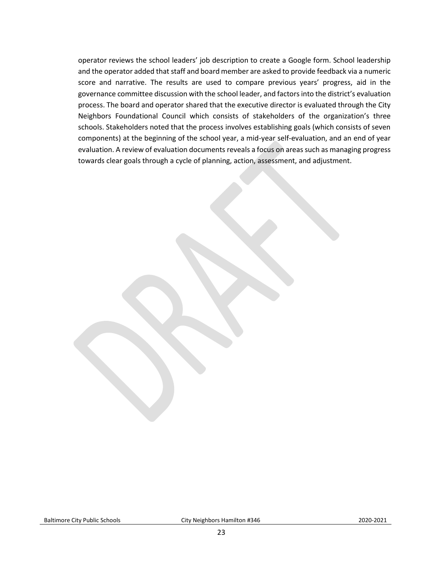<span id="page-22-0"></span>operator reviews the school leaders' job description to create a Google form. School leadership and the operator added that staff and board member are asked to provide feedback via a numeric score and narrative. The results are used to compare previous years' progress, aid in the governance committee discussion with the school leader, and factors into the district's evaluation process. The board and operator shared that the executive director is evaluated through the City Neighbors Foundational Council which consists of stakeholders of the organization's three schools. Stakeholders noted that the process involves establishing goals (which consists of seven components) at the beginning of the school year, a mid-year self-evaluation, and an end of year evaluation. A review of evaluation documents reveals a focus on areas such as managing progress towards clear goals through a cycle of planning, action, assessment, and adjustment.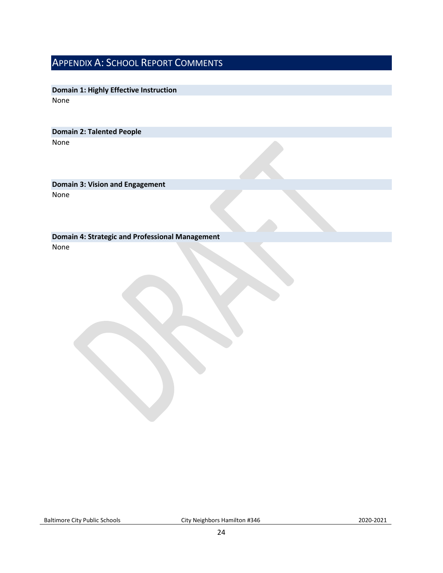### APPENDIX A: SCHOOL REPORT COMMENTS

**Domain 1: Highly Effective Instruction** None

**Domain 2: Talented People** None

**Domain 3: Vision and Engagement** None

**Domain 4: Strategic and Professional Management** None